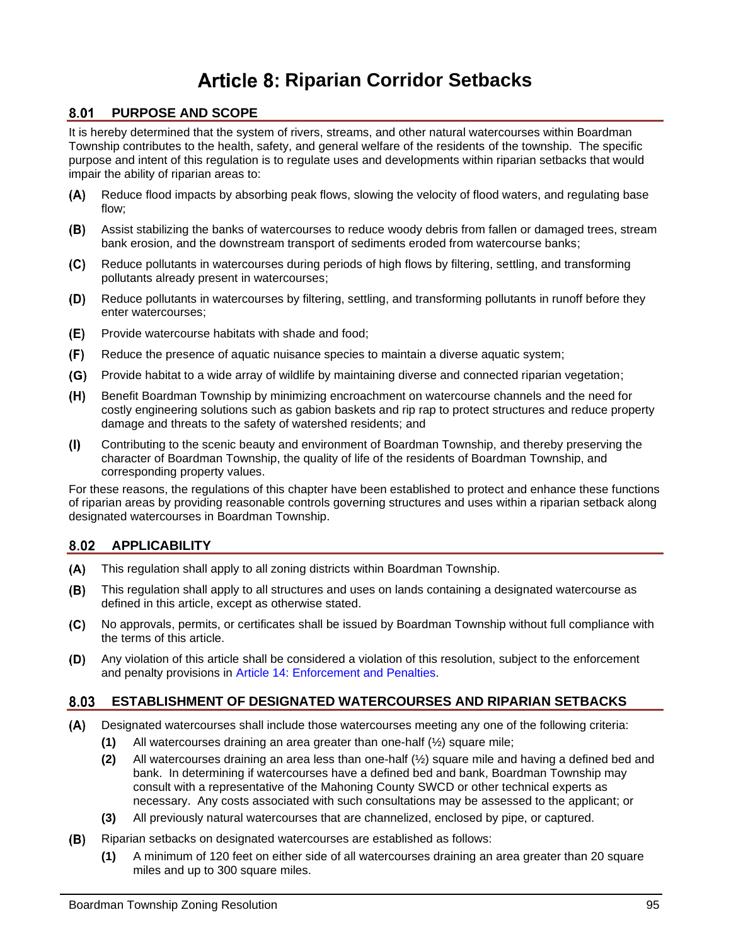# **Article 8: Riparian Corridor Setbacks**

# **PURPOSE AND SCOPE**

It is hereby determined that the system of rivers, streams, and other natural watercourses within Boardman Township contributes to the health, safety, and general welfare of the residents of the township. The specific purpose and intent of this regulation is to regulate uses and developments within riparian setbacks that would impair the ability of riparian areas to:

- $(A)$ Reduce flood impacts by absorbing peak flows, slowing the velocity of flood waters, and regulating base flow;
- Assist stabilizing the banks of watercourses to reduce woody debris from fallen or damaged trees, stream (B) bank erosion, and the downstream transport of sediments eroded from watercourse banks;
- $(C)$ Reduce pollutants in watercourses during periods of high flows by filtering, settling, and transforming pollutants already present in watercourses;
- Reduce pollutants in watercourses by filtering, settling, and transforming pollutants in runoff before they  $(D)$ enter watercourses;
- Provide watercourse habitats with shade and food;  $(E)$
- (F) Reduce the presence of aquatic nuisance species to maintain a diverse aquatic system;
- $(G)$ Provide habitat to a wide array of wildlife by maintaining diverse and connected riparian vegetation;
- (H) Benefit Boardman Township by minimizing encroachment on watercourse channels and the need for costly engineering solutions such as gabion baskets and rip rap to protect structures and reduce property damage and threats to the safety of watershed residents; and
- $(1)$ Contributing to the scenic beauty and environment of Boardman Township, and thereby preserving the character of Boardman Township, the quality of life of the residents of Boardman Township, and corresponding property values.

For these reasons, the regulations of this chapter have been established to protect and enhance these functions of riparian areas by providing reasonable controls governing structures and uses within a riparian setback along designated watercourses in Boardman Township.

# **APPLICABILITY**

- This regulation shall apply to all zoning districts within Boardman Township.  $(A)$
- $(B)$ This regulation shall apply to all structures and uses on lands containing a designated watercourse as defined in this article, except as otherwise stated.
- No approvals, permits, or certificates shall be issued by Boardman Township without full compliance with  $(C)$ the terms of this article.
- Any violation of this article shall be considered a violation of this resolution, subject to the enforcement  $(D)$ and penalty provisions in Article 14: Enforcement and Penalties.

## **ESTABLISHMENT OF DESIGNATED WATERCOURSES AND RIPARIAN SETBACKS**

- <span id="page-0-0"></span> $(A)$ Designated watercourses shall include those watercourses meeting any one of the following criteria:
	- **(1)** All watercourses draining an area greater than one-half (½) square mile;
	- **(2)** All watercourses draining an area less than one-half (½) square mile and having a defined bed and bank. In determining if watercourses have a defined bed and bank, Boardman Township may consult with a representative of the Mahoning County SWCD or other technical experts as necessary. Any costs associated with such consultations may be assessed to the applicant; or
	- **(3)** All previously natural watercourses that are channelized, enclosed by pipe, or captured.
- (B) Riparian setbacks on designated watercourses are established as follows:
	- **(1)** A minimum of 120 feet on either side of all watercourses draining an area greater than 20 square miles and up to 300 square miles.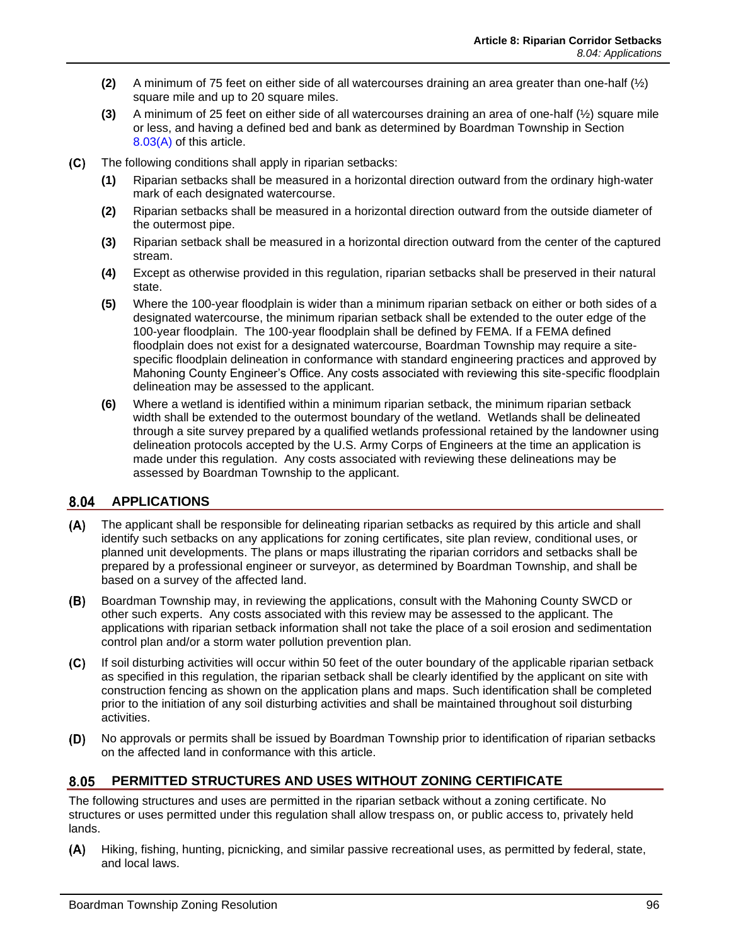- **(2)** A minimum of 75 feet on either side of all watercourses draining an area greater than one-half (½) square mile and up to 20 square miles.
- **(3)** A minimum of 25 feet on either side of all watercourses draining an area of one-half ( $\frac{1}{2}$ ) square mile or less, and having a defined bed and bank as determined by Boardman Township in Section [8.03\(A\)](#page-0-0) of this article.
- $(C)$ The following conditions shall apply in riparian setbacks:
	- **(1)** Riparian setbacks shall be measured in a horizontal direction outward from the ordinary high-water mark of each designated watercourse.
	- **(2)** Riparian setbacks shall be measured in a horizontal direction outward from the outside diameter of the outermost pipe.
	- **(3)** Riparian setback shall be measured in a horizontal direction outward from the center of the captured stream.
	- **(4)** Except as otherwise provided in this regulation, riparian setbacks shall be preserved in their natural state.
	- **(5)** Where the 100-year floodplain is wider than a minimum riparian setback on either or both sides of a designated watercourse, the minimum riparian setback shall be extended to the outer edge of the 100-year floodplain. The 100-year floodplain shall be defined by FEMA. If a FEMA defined floodplain does not exist for a designated watercourse, Boardman Township may require a sitespecific floodplain delineation in conformance with standard engineering practices and approved by Mahoning County Engineer's Office. Any costs associated with reviewing this site-specific floodplain delineation may be assessed to the applicant.
	- **(6)** Where a wetland is identified within a minimum riparian setback, the minimum riparian setback width shall be extended to the outermost boundary of the wetland. Wetlands shall be delineated through a site survey prepared by a qualified wetlands professional retained by the landowner using delineation protocols accepted by the U.S. Army Corps of Engineers at the time an application is made under this regulation. Any costs associated with reviewing these delineations may be assessed by Boardman Township to the applicant.

## **APPLICATIONS**

- $(A)$ The applicant shall be responsible for delineating riparian setbacks as required by this article and shall identify such setbacks on any applications for zoning certificates, site plan review, conditional uses, or planned unit developments. The plans or maps illustrating the riparian corridors and setbacks shall be prepared by a professional engineer or surveyor, as determined by Boardman Township, and shall be based on a survey of the affected land.
- $(B)$ Boardman Township may, in reviewing the applications, consult with the Mahoning County SWCD or other such experts. Any costs associated with this review may be assessed to the applicant. The applications with riparian setback information shall not take the place of a soil erosion and sedimentation control plan and/or a storm water pollution prevention plan.
- (C) If soil disturbing activities will occur within 50 feet of the outer boundary of the applicable riparian setback as specified in this regulation, the riparian setback shall be clearly identified by the applicant on site with construction fencing as shown on the application plans and maps. Such identification shall be completed prior to the initiation of any soil disturbing activities and shall be maintained throughout soil disturbing activities.
- (D) No approvals or permits shall be issued by Boardman Township prior to identification of riparian setbacks on the affected land in conformance with this article.

# **PERMITTED STRUCTURES AND USES WITHOUT ZONING CERTIFICATE**

The following structures and uses are permitted in the riparian setback without a zoning certificate. No structures or uses permitted under this regulation shall allow trespass on, or public access to, privately held lands.

 $(A)$ Hiking, fishing, hunting, picnicking, and similar passive recreational uses, as permitted by federal, state, and local laws.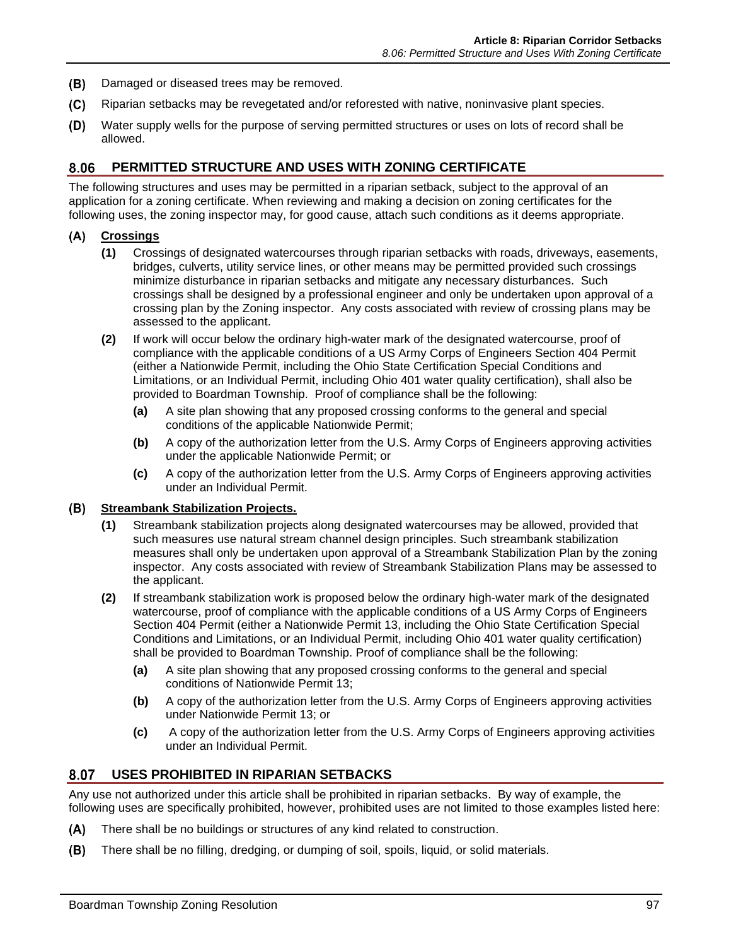- (B) Damaged or diseased trees may be removed.
- $(C)$ Riparian setbacks may be revegetated and/or reforested with native, noninvasive plant species.
- $(D)$ Water supply wells for the purpose of serving permitted structures or uses on lots of record shall be allowed.

#### $8.06$ **PERMITTED STRUCTURE AND USES WITH ZONING CERTIFICATE**

The following structures and uses may be permitted in a riparian setback, subject to the approval of an application for a zoning certificate. When reviewing and making a decision on zoning certificates for the following uses, the zoning inspector may, for good cause, attach such conditions as it deems appropriate.

### **Crossings**

- **(1)** Crossings of designated watercourses through riparian setbacks with roads, driveways, easements, bridges, culverts, utility service lines, or other means may be permitted provided such crossings minimize disturbance in riparian setbacks and mitigate any necessary disturbances. Such crossings shall be designed by a professional engineer and only be undertaken upon approval of a crossing plan by the Zoning inspector. Any costs associated with review of crossing plans may be assessed to the applicant.
- **(2)** If work will occur below the ordinary high-water mark of the designated watercourse, proof of compliance with the applicable conditions of a US Army Corps of Engineers Section 404 Permit (either a Nationwide Permit, including the Ohio State Certification Special Conditions and Limitations, or an Individual Permit, including Ohio 401 water quality certification), shall also be provided to Boardman Township. Proof of compliance shall be the following:
	- **(a)** A site plan showing that any proposed crossing conforms to the general and special conditions of the applicable Nationwide Permit;
	- **(b)** A copy of the authorization letter from the U.S. Army Corps of Engineers approving activities under the applicable Nationwide Permit; or
	- **(c)** A copy of the authorization letter from the U.S. Army Corps of Engineers approving activities under an Individual Permit.

### **Streambank Stabilization Projects.**

- **(1)** Streambank stabilization projects along designated watercourses may be allowed, provided that such measures use natural stream channel design principles. Such streambank stabilization measures shall only be undertaken upon approval of a Streambank Stabilization Plan by the zoning inspector. Any costs associated with review of Streambank Stabilization Plans may be assessed to the applicant.
- **(2)** If streambank stabilization work is proposed below the ordinary high-water mark of the designated watercourse, proof of compliance with the applicable conditions of a US Army Corps of Engineers Section 404 Permit (either a Nationwide Permit 13, including the Ohio State Certification Special Conditions and Limitations, or an Individual Permit, including Ohio 401 water quality certification) shall be provided to Boardman Township. Proof of compliance shall be the following:
	- **(a)** A site plan showing that any proposed crossing conforms to the general and special conditions of Nationwide Permit 13;
	- **(b)** A copy of the authorization letter from the U.S. Army Corps of Engineers approving activities under Nationwide Permit 13; or
	- **(c)** A copy of the authorization letter from the U.S. Army Corps of Engineers approving activities under an Individual Permit.

## **USES PROHIBITED IN RIPARIAN SETBACKS**

Any use not authorized under this article shall be prohibited in riparian setbacks. By way of example, the following uses are specifically prohibited, however, prohibited uses are not limited to those examples listed here:

- $(A)$ There shall be no buildings or structures of any kind related to construction.
- There shall be no filling, dredging, or dumping of soil, spoils, liquid, or solid materials.(B)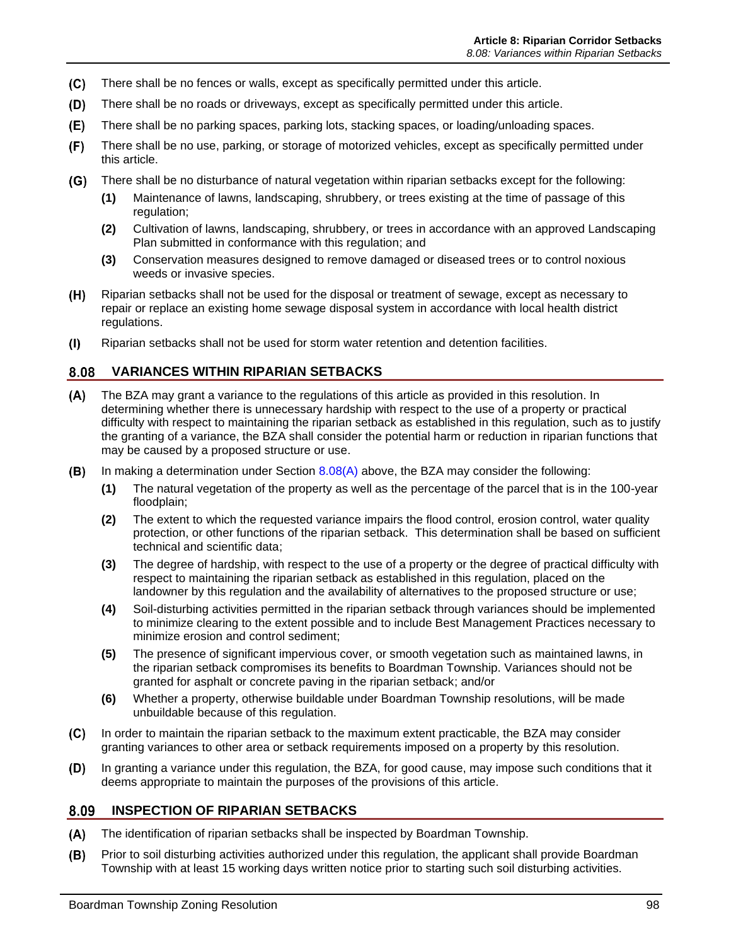- $(C)$ There shall be no fences or walls, except as specifically permitted under this article.
- $(D)$ There shall be no roads or driveways, except as specifically permitted under this article.
- (E) There shall be no parking spaces, parking lots, stacking spaces, or loading/unloading spaces.
- $(F)$ There shall be no use, parking, or storage of motorized vehicles, except as specifically permitted under this article.
- $(G)$ There shall be no disturbance of natural vegetation within riparian setbacks except for the following:
	- **(1)** Maintenance of lawns, landscaping, shrubbery, or trees existing at the time of passage of this regulation;
	- **(2)** Cultivation of lawns, landscaping, shrubbery, or trees in accordance with an approved Landscaping Plan submitted in conformance with this regulation; and
	- **(3)** Conservation measures designed to remove damaged or diseased trees or to control noxious weeds or invasive species.
- $(H)$ Riparian setbacks shall not be used for the disposal or treatment of sewage, except as necessary to repair or replace an existing home sewage disposal system in accordance with local health district regulations.
- $(1)$ Riparian setbacks shall not be used for storm water retention and detention facilities.

### **VARIANCES WITHIN RIPARIAN SETBACKS**

- <span id="page-3-0"></span>The BZA may grant a variance to the regulations of this article as provided in this resolution. In determining whether there is unnecessary hardship with respect to the use of a property or practical difficulty with respect to maintaining the riparian setback as established in this regulation, such as to justify the granting of a variance, the BZA shall consider the potential harm or reduction in riparian functions that may be caused by a proposed structure or use.
- **(B)** In making a determination under Section  $8.08(A)$  above, the BZA may consider the following:
	- **(1)** The natural vegetation of the property as well as the percentage of the parcel that is in the 100-year floodplain;
	- **(2)** The extent to which the requested variance impairs the flood control, erosion control, water quality protection, or other functions of the riparian setback. This determination shall be based on sufficient technical and scientific data;
	- **(3)** The degree of hardship, with respect to the use of a property or the degree of practical difficulty with respect to maintaining the riparian setback as established in this regulation, placed on the landowner by this regulation and the availability of alternatives to the proposed structure or use;
	- **(4)** Soil-disturbing activities permitted in the riparian setback through variances should be implemented to minimize clearing to the extent possible and to include Best Management Practices necessary to minimize erosion and control sediment;
	- **(5)** The presence of significant impervious cover, or smooth vegetation such as maintained lawns, in the riparian setback compromises its benefits to Boardman Township. Variances should not be granted for asphalt or concrete paving in the riparian setback; and/or
	- **(6)** Whether a property, otherwise buildable under Boardman Township resolutions, will be made unbuildable because of this regulation.
- (C) In order to maintain the riparian setback to the maximum extent practicable, the BZA may consider granting variances to other area or setback requirements imposed on a property by this resolution.
- $(D)$ In granting a variance under this regulation, the BZA, for good cause, may impose such conditions that it deems appropriate to maintain the purposes of the provisions of this article.

### **INSPECTION OF RIPARIAN SETBACKS**

- The identification of riparian setbacks shall be inspected by Boardman Township.  $(A)$
- Prior to soil disturbing activities authorized under this regulation, the applicant shall provide Boardman (B) Township with at least 15 working days written notice prior to starting such soil disturbing activities.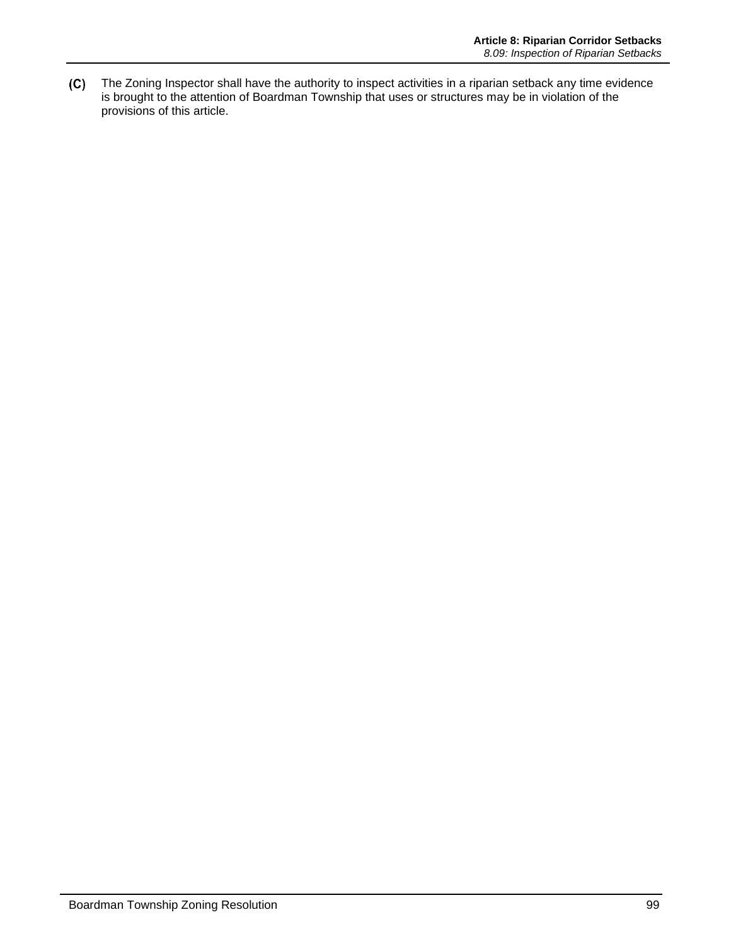$(C)$ The Zoning Inspector shall have the authority to inspect activities in a riparian setback any time evidence is brought to the attention of Boardman Township that uses or structures may be in violation of the provisions of this article.